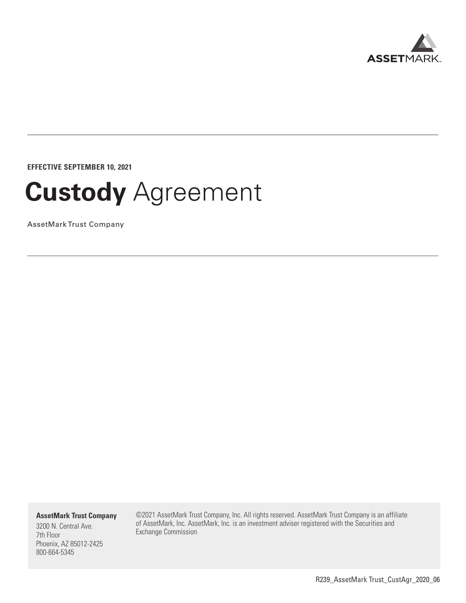

**EFFECTIVE SEPTEMBER 10, 2021**

# **Custody** Agreement

AssetMark Trust Company

**AssetMark Trust Company**

3200 N. Central Ave. 7th Floor Phoenix, AZ 85012-2425 800-664-5345

©2021 AssetMark Trust Company, Inc. All rights reserved. AssetMark Trust Company is an affiliate of AssetMark, Inc. AssetMark, Inc. is an investment adviser registered with the Securities and Exchange Commission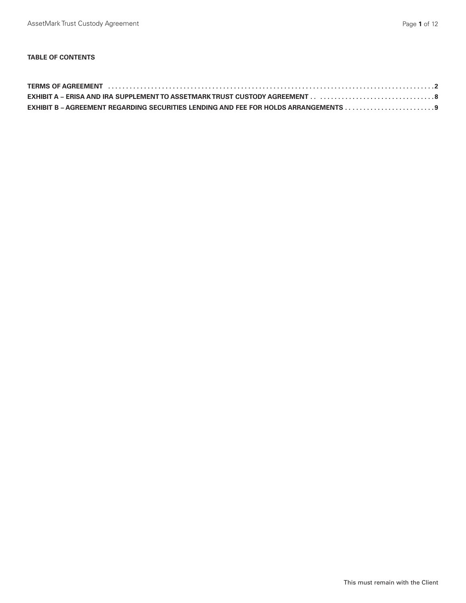# **TABLE OF CONTENTS**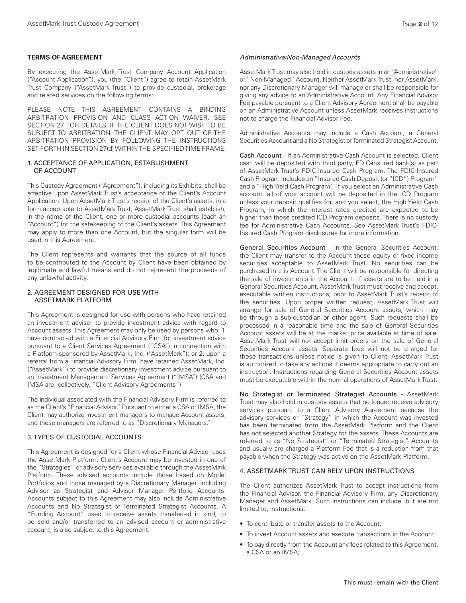## **TERMS OF AGREEMENT**

By executing the AssetMark Trust Company Account Application ("Account Application"), you (the "Client") agree to retain AssetMark Trust Company ("AssetMark Trust") to provide custodial, brokerage and related services on the following terms:

PLEASE NOTE THIS AGREEMENT CONTAINS A BINDING ARBITRATION PROVISION AND CLASS ACTION WAIVER. SEE SECTION 27 FOR DETAILS. IF THE CLIENT DOES NOT WISH TO BE SUBJECT TO ARBITRATION, THE CLIENT MAY OPT OUT OF THE ARBITRATION PROVISION BY FOLLOWING THE INSTRUCTIONS SET FORTH IN SECTION 27(d) WITHIN THE SPECIFIED TIME FRAME.

# 1. ACCEPTANCE OF APPLICATION, ESTABLISHMENT OF ACCOUNT

This Custody Agreement ("Agreement"), including its Exhibits, shall be effective upon AssetMark Trust's acceptance of the Client's Account Application. Upon AssetMark Trust's receipt of the Client's assets, in a form acceptable to AssetMark Trust, AssetMark Trust shall establish, in the name of the Client, one or more custodial accounts (each an "Account") for the safekeeping of the Client's assets. This Agreement may apply to more than one Account, but the singular form will be used in this Agreement.

The Client represents and warrants that the source of all funds to be contributed to the Account by Client have been obtained by legitimate and lawful means and do not represent the proceeds of any unlawful activity.

# 2. AGREEMENT DESIGNED FOR USE WITH ASSETMARK PLATFORM

This Agreement is designed for use with persons who have retained an investment adviser to provide investment advice with regard to Account assets. This Agreement may only be used by persons who: 1. have contracted with a Financial Advisory Firm for investment advice pursuant to a Client Services Agreement ("CSA") in connection with a Platform sponsored by AssetMark, Inc. ("AssetMark"); or 2. upon a referral from a Financial Advisory Firm, have retained AssetMark, Inc. ("AssetMark") to provide discretionary investment advice pursuant to an Investment Management Services Agreement ("IMSA") (CSA and IMSA are, collectively, "Client Advisory Agreements").

The individual associated with the Financial Advisory Firm is referred to as the Client's "Financial Advisor." Pursuant to either a CSA or IMSA, the Client may authorize investment managers to manage Account assets, and these managers are referred to as "Discretionary Managers."

#### 3. TYPES OF CUSTODIAL ACCOUNTS

This Agreement is designed for a Client whose Financial Advisor uses the AssetMark Platform. Client's Account may be invested in one of the "Strategies" or advisory services available through the AssetMark Platform. These advised accounts include those based on Model Portfolios and those managed by a Discretionary Manager, including Advisor as Strategist and Advisor Manager Portfolio Accounts. Accounts subject to this Agreement may also include Administrative Accounts and No Strategist or Terminated Strategist Accounts. A "Funding Account," used to receive assets transferred in kind, to be sold and/or transferred to an advised account or administrative account, is also subject to this Agreement.

#### *Administrative/Non-Managed Accounts*

AssetMark Trust may also hold in custody assets in an "Administrative" or "Non-Managed" Account. Neither AssetMark Trust, nor AssetMark, nor any Discretionary Manager will manage or shall be responsible for giving any advice to an Administrative Account. Any Financial Advisor Fee payable pursuant to a Client Advisory Agreement shall be payable on an Administrative Account unless AssetMark receives instructions not to charge the Financial Advisor Fee.

Administrative Accounts may include a Cash Account, a General Securities Account and a No Strategist or Terminated Strategist Account.

Cash Account - If an Administrative Cash Account is selected, Client cash will be deposited with third party, FDIC-insured bank(s) as part of AssetMark Trust's FDIC-Insured Cash Program. The FDIC-Insured Cash Program includes an "Insured Cash Deposit (or "ICD") Program" and a "High Yield Cash Program." If you select an Administrative Cash account, all of your account will be deposited in the ICD Program unless your deposit qualifies for, and you select, the High Yield Cash Program, in which the interest rates credited are expected to be higher than those credited ICD Program deposits. There is no custody fee for Administrative Cash Accounts. See AssetMark Trust's FDIC-Insured Cash Program disclosures for more information.

General Securities Account - In the General Securities Account, the Client may transfer to the Account those equity or fixed income securities acceptable to AssetMark Trust. No securities can be purchased in this Account. The Client will be responsible for directing the sale of investments in the Account. If assets are to be held in a General Securities Account, AssetMark Trust must receive and accept, executable written instructions, prior to AssetMark Trust's receipt of the securities. Upon proper written request, AssetMark Trust will arrange for sale of General Securities Account assets, which may be through a sub-custodian or other agent. Such requests shall be processed in a reasonable time and the sale of General Securities Account assets will be at the market price available at time of sale. AssetMark Trust will not accept limit orders on the sale of General Securities Account assets. Separate fees will not be charged for these transactions unless notice is given to Client. AssetMark Trust is authorized to take any actions it deems appropriate to carry out an instruction. Instructions regarding General Securities Account assets must be executable within the normal operations of AssetMark Trust.

No Strategist or Terminated Strategist Accounts - AssetMark Trust may also hold in custody assets that no longer receive advisory services pursuant to a Client Advisory Agreement because the advisory services or "Strategy" in which the Account was invested has been terminated from the AssetMark Platform and the Client has not selected another Strategy for the assets. These Accounts are referred to as "No Strategist" or "Terminated Strategist" Accounts and usually are charged a Platform Fee that is a reduction from that payable when the Strategy was active on the AssetMark Platform.

# 4. ASSETMARK TRUST CAN RELY UPON INSTRUCTIONS

The Client authorizes AssetMark Trust to accept instructions from the Financial Advisor, the Financial Advisory Firm, any Discretionary Manager and AssetMark. Such instructions can include, but are not limited to, instructions:

- To contribute or transfer assets to the Account;
- To invest Account assets and execute transactions in the Account;
- To pay directly from the Account any fees related to this Agreement, a CSA or an IMSA;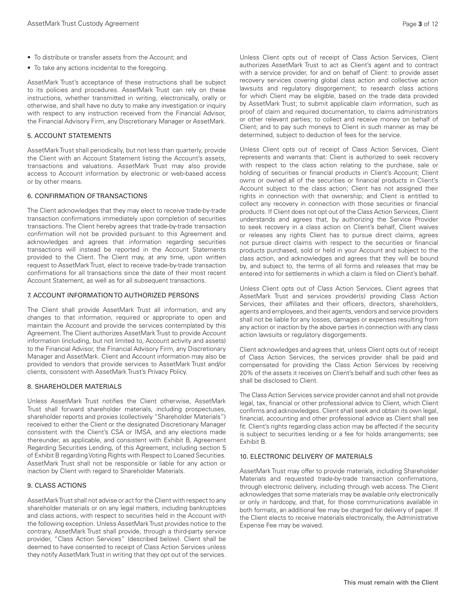- To distribute or transfer assets from the Account; and
- To take any actions incidental to the foregoing.

AssetMark Trust's acceptance of these instructions shall be subject to its policies and procedures. AssetMark Trust can rely on these instructions, whether transmitted in writing, electronically, orally or otherwise, and shall have no duty to make any investigation or inquiry with respect to any instruction received from the Financial Advisor, the Financial Advisory Firm, any Discretionary Manager or AssetMark.

# 5. ACCOUNT STATEMENTS

AssetMark Trust shall periodically, but not less than quarterly, provide the Client with an Account Statement listing the Account's assets, transactions and valuations. AssetMark Trust may also provide access to Account information by electronic or web-based access or by other means.

#### 6. CONFIRMATION OF TRANSACTIONS

The Client acknowledges that they may elect to receive trade-by-trade transaction confirmations immediately upon completion of securities transactions. The Client hereby agrees that trade-by-trade transaction confirmation will not be provided pursuant to this Agreement and acknowledges and agrees that information regarding securities transactions will instead be reported in the Account Statements provided to the Client. The Client may, at any time, upon written request to AssetMark Trust, elect to receive trade-by-trade transaction confirmations for all transactions since the date of their most recent Account Statement, as well as for all subsequent transactions.

#### 7. ACCOUNT INFORMATION TO AUTHORIZED PERSONS

The Client shall provide AssetMark Trust all information, and any changes to that information, required or appropriate to open and maintain the Account and provide the services contemplated by this Agreement. The Client authorizes AssetMark Trust to provide Account information (including, but not limited to, Account activity and assets) to the Financial Advisor, the Financial Advisory Firm, any Discretionary Manager and AssetMark. Client and Account information may also be provided to vendors that provide services to AssetMark Trust and/or clients, consistent with AssetMark Trust's Privacy Policy.

## 8. SHAREHOLDER MATERIALS

Unless AssetMark Trust notifies the Client otherwise, AssetMark Trust shall forward shareholder materials, including prospectuses, shareholder reports and proxies (collectively "Shareholder Materials") received to either the Client or the designated Discretionary Manager consistent with the Client's CSA or IMSA, and any elections made thereunder, as applicable, and consistent with Exhibit B, Agreement Regarding Securities Lending, of this Agreement, including section 5 of Exhibit B regarding Voting Rights with Respect to Loaned Securities. AssetMark Trust shall not be responsible or liable for any action or inaction by Client with regard to Shareholder Materials.

# 9. CLASS ACTIONS

AssetMark Trust shall not advise or act for the Client with respect to any shareholder materials or on any legal matters, including bankruptcies and class actions, with respect to securities held in the Account with the following exception. Unless AssetMark Trust provides notice to the contrary, AssetMark Trust shall provide, through a third-party service provider, "Class Action Services" (described below). Client shall be deemed to have consented to receipt of Class Action Services unless they notify AssetMark Trust in writing that they opt out of the services.

Unless Client opts out of receipt of Class Action Services, Client authorizes AssetMark Trust to act as Client's agent and to contract with a service provider, for and on behalf of Client: to provide asset recovery services covering global class action and collective action lawsuits and regulatory disgorgement; to research class actions for which Client may be eligible, based on the trade data provided by AssetMark Trust; to submit applicable claim information, such as proof of claim and required documentation, to claims administrators or other relevant parties; to collect and receive money on behalf of Client; and to pay such moneys to Client in such manner as may be determined, subject to deduction of fees for the service.

Unless Client opts out of receipt of Class Action Services, Client represents and warrants that: Client is authorized to seek recovery with respect to the class action relating to the purchase, sale or holding of securities or financial products in Client's Account; Client owns or owned all of the securities or financial products in Client's Account subject to the class action; Client has not assigned their rights in connection with that ownership; and Client is entitled to collect any recovery in connection with those securities or financial products. If Client does not opt out of the Class Action Services, Client understands and agrees that, by authorizing the Service Provider to seek recovery in a class action on Client's behalf, Client waives or releases any rights Client has to pursue direct claims, agrees not pursue direct claims with respect to the securities or financial products purchased, sold or held in your Account and subject to the class action, and acknowledges and agrees that they will be bound by, and subject to, the terms of all forms and releases that may be entered into for settlements in which a claim is filed on Client's behalf.

Unless Client opts out of Class Action Services, Client agrees that AssetMark Trust and services provider(s) providing Class Action Services, their affiliates and their officers, directors, shareholders, agents and employees, and their agents, vendors and service providers shall not be liable for any losses, damages or expenses resulting from any action or inaction by the above parties in connection with any class action lawsuits or regulatory disgorgements.

Client acknowledges and agrees that, unless Client opts out of receipt of Class Action Services, the services provider shall be paid and compensated for providing the Class Action Services by receiving 20% of the assets it receives on Client's behalf and such other fees as shall be disclosed to Client.

The Class Action Services service provider cannot and shall not provide legal, tax, financial or other professional advice to Client, which Client confirms and acknowledges. Client shall seek and obtain its own legal, financial, accounting and other professional advice as Client shall see fit. Client's rights regarding class action may be affected if the security is subject to securities lending or a fee for holds arrangements; see Exhibit B.

#### 10. ELECTRONIC DELIVERY OF MATERIALS

AssetMark Trust may offer to provide materials, including Shareholder Materials and requested trade-by-trade transaction confirmations, through electronic delivery, including through web access. The Client acknowledges that some materials may be available only electronically or only in hardcopy, and that, for those communications available in both formats, an additional fee may be charged for delivery of paper. If the Client elects to receive materials electronically, the Administrative Expense Fee may be waived.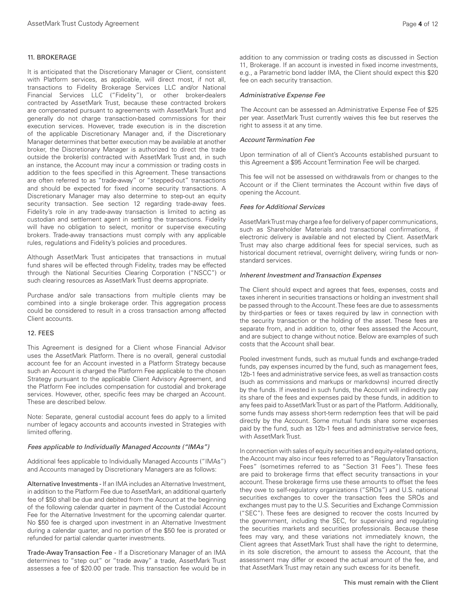#### 11. BROKERAGE

It is anticipated that the Discretionary Manager or Client, consistent with Platform services, as applicable, will direct most, if not all, transactions to Fidelity Brokerage Services LLC and/or National Financial Services LLC ("Fidelity"), or other broker-dealers contracted by AssetMark Trust, because these contracted brokers are compensated pursuant to agreements with AssetMark Trust and generally do not charge transaction-based commissions for their execution services. However, trade execution is in the discretion of the applicable Discretionary Manager and, if the Discretionary Manager determines that better execution may be available at another broker, the Discretionary Manager is authorized to direct the trade outside the broker(s) contracted with AssetMark Trust and, in such an instance, the Account may incur a commission or trading costs in addition to the fees specified in this Agreement. These transactions are often referred to as "trade-away" or "stepped-out" transactions and should be expected for fixed income security transactions. A Discretionary Manager may also determine to step-out an equity security transaction. See section 12 regarding trade-away fees. Fidelity's role in any trade-away transaction is limited to acting as custodian and settlement agent in settling the transactions. Fidelity will have no obligation to select, monitor or supervise executing brokers. Trade-away transactions must comply with any applicable rules, regulations and Fidelity's policies and procedures.

Although AssetMark Trust anticipates that transactions in mutual fund shares will be effected through Fidelity, trades may be effected through the National Securities Clearing Corporation ("NSCC") or such clearing resources as AssetMark Trust deems appropriate.

Purchase and/or sale transactions from multiple clients may be combined into a single brokerage order. This aggregation process could be considered to result in a cross transaction among affected Client accounts.

#### 12. FEES

This Agreement is designed for a Client whose Financial Advisor uses the AssetMark Platform. There is no overall, general custodial account fee for an Account invested in a Platform Strategy because such an Account is charged the Platform Fee applicable to the chosen Strategy pursuant to the applicable Client Advisory Agreement, and the Platform Fee includes compensation for custodial and brokerage services. However, other, specific fees may be charged an Account. These are described below.

Note: Separate, general custodial account fees do apply to a limited number of legacy accounts and accounts invested in Strategies with limited offering.

#### *Fees applicable to Individually Managed Accounts ("IMAs")*

Additional fees applicable to Individually Managed Accounts ("IMAs") and Accounts managed by Discretionary Managers are as follows:

Alternative Investments - If an IMA includes an Alternative Investment, in addition to the Platform Fee due to AssetMark, an additional quarterly fee of \$50 shall be due and debited from the Account at the beginning of the following calendar quarter in payment of the Custodial Account Fee for the Alternative Investment for the upcoming calendar quarter. No \$50 fee is charged upon investment in an Alternative Investment during a calendar quarter, and no portion of the \$50 fee is prorated or refunded for partial calendar quarter investments.

Trade-Away Transaction Fee - If a Discretionary Manager of an IMA determines to "step out" or "trade away" a trade, AssetMark Trust assesses a fee of \$20.00 per trade. This transaction fee would be in addition to any commission or trading costs as discussed in Section 11, Brokerage. If an account is invested in fixed income investments, e.g., a Parametric bond ladder IMA, the Client should expect this \$20 fee on each security transaction.

#### *Administrative Expense Fee*

 The Account can be assessed an Administrative Expense Fee of \$25 per year. AssetMark Trust currently waives this fee but reserves the right to assess it at any time.

#### *Account Termination Fee*

Upon termination of all of Client's Accounts established pursuant to this Agreement a \$95 Account Termination Fee will be charged.

This fee will not be assessed on withdrawals from or changes to the Account or if the Client terminates the Account within five days of opening the Account.

#### *Fees for Additional Services*

AssetMark Trust may charge a fee for delivery of paper communications, such as Shareholder Materials and transactional confirmations, if electronic delivery is available and not elected by Client. AssetMark Trust may also charge additional fees for special services, such as historical document retrieval, overnight delivery, wiring funds or nonstandard services.

## *Inherent Investment and Transaction Expenses*

The Client should expect and agrees that fees, expenses, costs and taxes inherent in securities transactions or holding an investment shall be passed through to the Account. These fees are due to assessments by third-parties or fees or taxes required by law in connection with the security transaction or the holding of the asset. These fees are separate from, and in addition to, other fees assessed the Account, and are subject to change without notice. Below are examples of such costs that the Account shall bear.

Pooled investment funds, such as mutual funds and exchange-traded funds, pay expenses incurred by the fund, such as management fees, 12b-1 fees and administrative service fees, as well as transaction costs (such as commissions and markups or markdowns) incurred directly by the funds. If invested in such funds, the Account will indirectly pay its share of the fees and expenses paid by these funds, in addition to any fees paid to AssetMark Trust or as part of the Platform. Additionally, some funds may assess short-term redemption fees that will be paid directly by the Account. Some mutual funds share some expenses paid by the fund, such as 12b-1 fees and administrative service fees, with AssetMark Trust.

In connection with sales of equity securities and equity-related options, the Account may also incur fees referred to as "Regulatory Transaction Fees" (sometimes referred to as "Section 31 Fees"). These fees are paid to brokerage firms that effect security transactions in your account. These brokerage firms use these amounts to offset the fees they owe to self-regulatory organizations ("SROs") and U.S. national securities exchanges to cover the transaction fees the SROs and exchanges must pay to the U.S. Securities and Exchange Commission ("SEC"). These fees are designed to recover the costs Incurred by the government, including the SEC, for supervising and regulating the securities markets and securities professionals. Because these fees may vary, and these variations not immediately known, the Client agrees that AssetMark Trust shall have the right to determine, in its sole discretion, the amount to assess the Account, that the assessment may differ or exceed the actual amount of the fee, and that AssetMark Trust may retain any such excess for its benefit.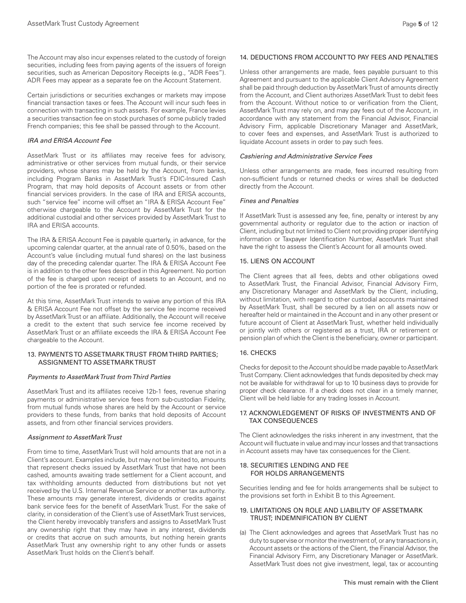Certain jurisdictions or securities exchanges or markets may impose financial transaction taxes or fees. The Account will incur such fees in connection with transacting in such assets. For example, France levies a securities transaction fee on stock purchases of some publicly traded French companies; this fee shall be passed through to the Account.

# *IRA and ERISA Account Fee*

AssetMark Trust or its affiliates may receive fees for advisory, administrative or other services from mutual funds, or their service providers, whose shares may be held by the Account, from banks, including Program Banks in AssetMark Trust's FDIC-Insured Cash Program, that may hold deposits of Account assets or from other financial services providers. In the case of IRA and ERISA accounts, such "service fee" income will offset an "IRA & ERISA Account Fee" otherwise chargeable to the Account by AssetMark Trust for the additional custodial and other services provided by AssetMark Trust to IRA and ERISA accounts.

The IRA & ERISA Account Fee is payable quarterly, in advance, for the upcoming calendar quarter, at the annual rate of 0.50%, based on the Account's value (including mutual fund shares) on the last business day of the preceding calendar quarter. The IRA & ERISA Account Fee is in addition to the other fees described in this Agreement. No portion of the fee is charged upon receipt of assets to an Account, and no portion of the fee is prorated or refunded.

At this time, AssetMark Trust intends to waive any portion of this IRA & ERISA Account Fee not offset by the service fee income received by AssetMark Trust or an affiliate. Additionally, the Account will receive a credit to the extent that such service fee income received by AssetMark Trust or an affiliate exceeds the IRA & ERISA Account Fee chargeable to the Account.

## 13. PAYMENTS TO ASSETMARK TRUST FROM THIRD PARTIES; ASSIGNMENT TO ASSETMARK TRUST

### *Payments to AssetMark Trust from Third Parties*

AssetMark Trust and its affiliates receive 12b-1 fees, revenue sharing payments or administrative service fees from sub-custodian Fidelity, from mutual funds whose shares are held by the Account or service providers to these funds, from banks that hold deposits of Account assets, and from other financial services providers.

#### *Assignment to AssetMark Trust*

From time to time, AssetMark Trust will hold amounts that are not in a Client's account. Examples include, but may not be limited to, amounts that represent checks issued by AssetMark Trust that have not been cashed, amounts awaiting trade settlement for a Client account, and tax withholding amounts deducted from distributions but not yet received by the U.S. Internal Revenue Service or another tax authority. These amounts may generate interest, dividends or credits against bank service fees for the benefit of AssetMark Trust. For the sake of clarity, in consideration of the Client's use of AssetMark Trust services, the Client hereby irrevocably transfers and assigns to AssetMark Trust any ownership right that they may have in any interest, dividends or credits that accrue on such amounts, but nothing herein grants AssetMark Trust any ownership right to any other funds or assets AssetMark Trust holds on the Client's behalf.

# 14. DEDUCTIONS FROM ACCOUNT TO PAY FEES AND PENALTIES

Unless other arrangements are made, fees payable pursuant to this Agreement and pursuant to the applicable Client Advisory Agreement shall be paid through deduction by AssetMark Trust of amounts directly from the Account, and Client authorizes AssetMark Trust to debit fees from the Account. Without notice to or verification from the Client, AssetMark Trust may rely on, and may pay fees out of the Account, in accordance with any statement from the Financial Advisor, Financial Advisory Firm, applicable Discretionary Manager and AssetMark, to cover fees and expenses, and AssetMark Trust is authorized to liquidate Account assets in order to pay such fees.

#### *Cashiering and Administrative Service Fees*

Unless other arrangements are made, fees incurred resulting from non-sufficient funds or returned checks or wires shall be deducted directly from the Account.

#### *Fines and Penalties*

If AssetMark Trust is assessed any fee, fine, penalty or interest by any governmental authority or regulator due to the action or inaction of Client, including but not limited to Client not providing proper identifying information or Taxpayer Identification Number, AssetMark Trust shall have the right to assess the Client's Account for all amounts owed.

#### 15. LIENS ON ACCOUNT

The Client agrees that all fees, debts and other obligations owed to AssetMark Trust, the Financial Advisor, Financial Advisory Firm, any Discretionary Manager and AssetMark by the Client, including, without limitation, with regard to other custodial accounts maintained by AssetMark Trust, shall be secured by a lien on all assets now or hereafter held or maintained in the Account and in any other present or future account of Client at AssetMark Trust, whether held individually or jointly with others or registered as a trust, IRA or retirement or pension plan of which the Client is the beneficiary, owner or participant.

# 16. CHECKS

Checks for deposit to the Account should be made payable to AssetMark Trust Company. Client acknowledges that funds deposited by check may not be available for withdrawal for up to 10 business days to provide for proper check clearance. If a check does not clear in a timely manner, Client will be held liable for any trading losses in Account.

#### 17. ACKNOWLEDGEMENT OF RISKS OF INVESTMENTS AND OF TAX CONSEQUENCES

The Client acknowledges the risks inherent in any investment, that the Account will fluctuate in value and may incur losses and that transactions in Account assets may have tax consequences for the Client.

# 18. SECURITIES LENDING AND FEE FOR HOLDS ARRANGEMENTS

Securities lending and fee for holds arrangements shall be subject to the provisions set forth in Exhibit B to this Agreement.

#### 19. LIMITATIONS ON ROLE AND LIABILITY OF ASSETMARK TRUST; INDEMNIFICATION BY CLIENT

(a) The Client acknowledges and agrees that AssetMark Trust has no duty to supervise or monitor the investment of, or any transactions in, Account assets or the actions of the Client, the Financial Advisor, the Financial Advisory Firm, any Discretionary Manager or AssetMark. AssetMark Trust does not give investment, legal, tax or accounting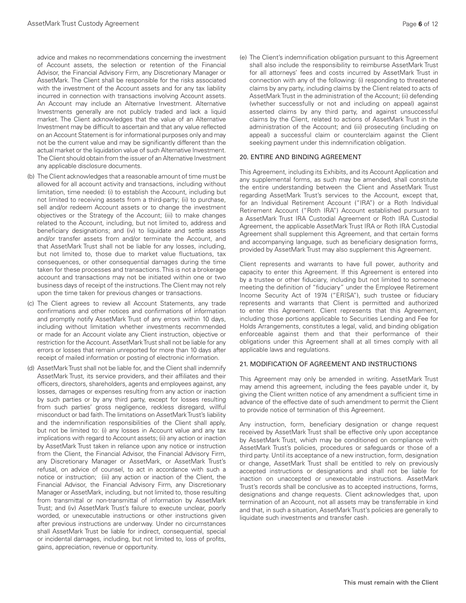advice and makes no recommendations concerning the investment of Account assets, the selection or retention of the Financial Advisor, the Financial Advisory Firm, any Discretionary Manager or AssetMark. The Client shall be responsible for the risks associated with the investment of the Account assets and for any tax liability incurred in connection with transactions involving Account assets. An Account may include an Alternative Investment. Alternative Investments generally are not publicly traded and lack a liquid market. The Client acknowledges that the value of an Alternative Investment may be difficult to ascertain and that any value reflected on an Account Statement is for informational purposes only and may not be the current value and may be significantly different than the actual market or the liquidation value of such Alternative Investment. The Client should obtain from the issuer of an Alternative Investment any applicable disclosure documents.

- (b) The Client acknowledges that a reasonable amount of time must be allowed for all account activity and transactions, including without limitation, time needed: (i) to establish the Account, including but not limited to receiving assets from a third-party; (ii) to purchase, sell and/or redeem Account assets or to change the investment objectives or the Strategy of the Account; (iii) to make changes related to the Account, including, but not limited to, address and beneficiary designations; and (iv) to liquidate and settle assets and/or transfer assets from and/or terminate the Account, and that AssetMark Trust shall not be liable for any losses, including, but not limited to, those due to market value fluctuations, tax consequences, or other consequential damages during the time taken for these processes and transactions. This is not a brokerage account and transactions may not be initiated within one or two business days of receipt of the instructions. The Client may not rely upon the time taken for previous changes or transactions.
- (c) The Client agrees to review all Account Statements, any trade confirmations and other notices and confirmations of information and promptly notify AssetMark Trust of any errors within 10 days, including without limitation whether investments recommended or made for an Account violate any Client instruction, objective or restriction for the Account. AssetMark Trust shall not be liable for any errors or losses that remain unreported for more than 10 days after receipt of mailed information or posting of electronic information.
- (d) AssetMark Trust shall not be liable for, and the Client shall indemnify AssetMark Trust, its service providers, and their affiliates and their officers, directors, shareholders, agents and employees against, any losses, damages or expenses resulting from any action or inaction by such parties or by any third party, except for losses resulting from such parties' gross negligence, reckless disregard, willful misconduct or bad faith. The limitations on AssetMark Trust's liability and the indemnification responsibilities of the Client shall apply, but not be limited to: (i) any losses in Account value and any tax implications with regard to Account assets; (ii) any action or inaction by AssetMark Trust taken in reliance upon any notice or instruction from the Client, the Financial Advisor, the Financial Advisory Firm, any Discretionary Manager or AssetMark, or AssetMark Trust's refusal, on advice of counsel, to act in accordance with such a notice or instruction; (iii) any action or inaction of the Client, the Financial Advisor, the Financial Advisory Firm, any Discretionary Manager or AssetMark, including, but not limited to, those resulting from transmittal or non-transmittal of information by AssetMark Trust; and (iv) AssetMark Trust's failure to execute unclear, poorly worded, or unexecutable instructions or other instructions given after previous instructions are underway. Under no circumstances shall AssetMark Trust be liable for indirect, consequential, special or incidental damages, including, but not limited to, loss of profits, gains, appreciation, revenue or opportunity.

(e) The Client's indemnification obligation pursuant to this Agreement shall also include the responsibility to reimburse AssetMark Trust for all attorneys' fees and costs incurred by AssetMark Trust in connection with any of the following: (i) responding to threatened claims by any party, including claims by the Client related to acts of AssetMark Trust in the administration of the Account; (ii) defending (whether successfully or not and including on appeal) against asserted claims by any third party, and against unsuccessful claims by the Client, related to actions of AssetMark Trust in the administration of the Account; and (iii) prosecuting (including on appeal) a successful claim or counterclaim against the Client seeking payment under this indemnification obligation.

#### 20. ENTIRE AND BINDING AGREEMENT

This Agreement, including its Exhibits, and its Account Application and any supplemental forms, as such may be amended, shall constitute the entire understanding between the Client and AssetMark Trust regarding AssetMark Trust's services to the Account, except that, for an Individual Retirement Account ("IRA") or a Roth Individual Retirement Account ("Roth IRA") Account established pursuant to a AssetMark Trust IRA Custodial Agreement or Roth IRA Custodial Agreement, the applicable AssetMark Trust IRA or Roth IRA Custodial Agreement shall supplement this Agreement, and that certain forms and accompanying language, such as beneficiary designation forms, provided by AssetMark Trust may also supplement this Agreement.

Client represents and warrants to have full power, authority and capacity to enter this Agreement. If this Agreement is entered into by a trustee or other fiduciary, including but not limited to someone meeting the definition of "fiduciary" under the Employee Retirement Income Security Act of 1974 ("ERISA"), such trustee or fiduciary represents and warrants that Client is permitted and authorized to enter this Agreement. Client represents that this Agreement, including those portions applicable to Securities Lending and Fee for Holds Arrangements, constitutes a legal, valid, and binding obligation enforceable against them and that their performance of their obligations under this Agreement shall at all times comply with all applicable laws and regulations.

# 21. MODIFICATION OF AGREEMENT AND INSTRUCTIONS

This Agreement may only be amended in writing. AssetMark Trust may amend this agreement, including the fees payable under it, by giving the Client written notice of any amendment a sufficient time in advance of the effective date of such amendment to permit the Client to provide notice of termination of this Agreement.

Any instruction, form, beneficiary designation or change request received by AssetMark Trust shall be effective only upon acceptance by AssetMark Trust, which may be conditioned on compliance with AssetMark Trust's policies, procedures or safeguards or those of a third party. Until its acceptance of a new instruction, form, designation or change, AssetMark Trust shall be entitled to rely on previously accepted instructions or designations and shall not be liable for inaction on unaccepted or unexecutable instructions. AssetMark Trust's records shall be conclusive as to accepted instructions, forms, designations and change requests. Client acknowledges that, upon termination of an Account, not all assets may be transferrable in kind and that, in such a situation, AssetMark Trust's policies are generally to liquidate such investments and transfer cash.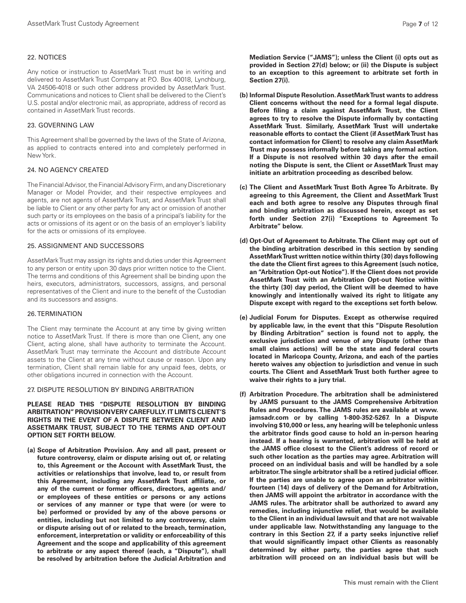#### 22. NOTICES

Any notice or instruction to AssetMark Trust must be in writing and delivered to AssetMark Trust Company at P.O. Box 40018, Lynchburg, VA 24506-4018 or such other address provided by AssetMark Trust. Communications and notices to Client shall be delivered to the Client's U.S. postal and/or electronic mail, as appropriate, address of record as contained in AssetMark Trust records.

## 23. GOVERNING LAW

This Agreement shall be governed by the laws of the State of Arizona, as applied to contracts entered into and completely performed in New York.

## 24. NO AGENCY CREATED

The Financial Advisor, the Financial Advisory Firm, and any Discretionary Manager or Model Provider, and their respective employees and agents, are not agents of AssetMark Trust, and AssetMark Trust shall be liable to Client or any other party for any act or omission of another such party or its employees on the basis of a principal's liability for the acts or omissions of its agent or on the basis of an employer's liability for the acts or omissions of its employee.

#### 25. ASSIGNMENT AND SUCCESSORS

AssetMark Trust may assign its rights and duties under this Agreement to any person or entity upon 30 days prior written notice to the Client. The terms and conditions of this Agreement shall be binding upon the heirs, executors, administrators, successors, assigns, and personal representatives of the Client and inure to the benefit of the Custodian and its successors and assigns.

#### 26. TERMINATION

The Client may terminate the Account at any time by giving written notice to AssetMark Trust. If there is more than one Client, any one Client, acting alone, shall have authority to terminate the Account. AssetMark Trust may terminate the Account and distribute Account assets to the Client at any time without cause or reason. Upon any termination, Client shall remain liable for any unpaid fees, debts, or other obligations incurred in connection with the Account.

#### 27. DISPUTE RESOLUTION BY BINDING ARBITRATION

**PLEASE READ THIS "DISPUTE RESOLUTION BY BINDING ARBITRATION" PROVISION VERY CAREFULLY. IT LIMITS CLIENT'S RIGHTS IN THE EVENT OF A DISPUTE BETWEEN CLIENT AND ASSETMARK TRUST, SUBJECT TO THE TERMS AND OPT-OUT OPTION SET FORTH BELOW.**

**(a) Scope of Arbitration Provision. Any and all past, present or future controversy, claim or dispute arising out of, or relating to, this Agreement or the Account with AssetMark Trust, the activities or relationships that involve, lead to, or result from this Agreement, including any AssetMark Trust affiliate, or any of the current or former officers, directors, agents and/ or employees of these entities or persons or any actions or services of any manner or type that were (or were to be) performed or provided by any of the above persons or entities, including but not limited to any controversy, claim or dispute arising out of or related to the breach, termination, enforcement, interpretation or validity or enforceability of this Agreement and the scope and applicability of this agreement to arbitrate or any aspect thereof (each, a "Dispute"), shall be resolved by arbitration before the Judicial Arbitration and**  **Mediation Service ("JAMS"); unless the Client (i) opts out as provided in Section 27(d) below; or (ii) the Dispute is subject to an exception to this agreement to arbitrate set forth in Section 27(i).**

- **(b) Informal Dispute Resolution. AssetMark Trust wants to address Client concerns without the need for a formal legal dispute. Before filing a claim against AssetMark Trust, the Client agrees to try to resolve the Dispute informally by contacting AssetMark Trust. Similarly, AssetMark Trust will undertake reasonable efforts to contact the Client (if AssetMark Trust has contact information for Client) to resolve any claim AssetMark Trust may possess informally before taking any formal action. If a Dispute is not resolved within 30 days after the email noting the Dispute is sent, the Client or AssetMark Trust may initiate an arbitration proceeding as described below.**
- **(c) The Client and AssetMark Trust Both Agree To Arbitrate. By agreeing to this Agreement, the Client and AssetMark Trust each and both agree to resolve any Disputes through final and binding arbitration as discussed herein, except as set forth under Section 27(i) "Exceptions to Agreement To Arbitrate" below.**
- **(d) Opt-Out of Agreement to Arbitrate. The Client may opt out of the binding arbitration described in this section by sending AssetMark Trust written notice within thirty (30) days following the date the Client first agrees to this Agreement (such notice, an "Arbitration Opt-out Notice"). If the Client does not provide AssetMark Trust with an Arbitration Opt-out Notice within the thirty (30) day period, the Client will be deemed to have knowingly and intentionally waived its right to litigate any Dispute except with regard to the exceptions set forth below.**
- **(e) Judicial Forum for Disputes. Except as otherwise required by applicable law, in the event that this "Dispute Resolution by Binding Arbitration" section is found not to apply, the exclusive jurisdiction and venue of any Dispute (other than small claims actions) will be the state and federal courts located in Maricopa County, Arizona, and each of the parties hereto waives any objection to jurisdiction and venue in such courts. The Client and AssetMark Trust both further agree to waive their rights to a jury trial.**
- **(f) Arbitration Procedure. The arbitration shall be administered by JAMS pursuant to the JAMS Comprehensive Arbitration Rules and Procedures. The JAMS rules are available at www. jamsadr.com or by calling 1-800-352-5267. In a Dispute involving \$10,000 or less, any hearing will be telephonic unless the arbitrator finds good cause to hold an in-person hearing instead. If a hearing is warranted, arbitration will be held at the JAMS office closest to the Client's address of record or such other location as the parties may agree. Arbitration will proceed on an individual basis and will be handled by a sole arbitrator. The single arbitrator shall be a retired judicial officer. If the parties are unable to agree upon an arbitrator within fourteen (14) days of delivery of the Demand for Arbitration, then JAMS will appoint the arbitrator in accordance with the JAMS rules. The arbitrator shall be authorized to award any remedies, including injunctive relief, that would be available to the Client in an individual lawsuit and that are not waivable under applicable law. Notwithstanding any language to the contrary in this Section 27, if a party seeks injunctive relief that would significantly impact other Clients as reasonably determined by either party, the parties agree that such arbitration will proceed on an individual basis but will be**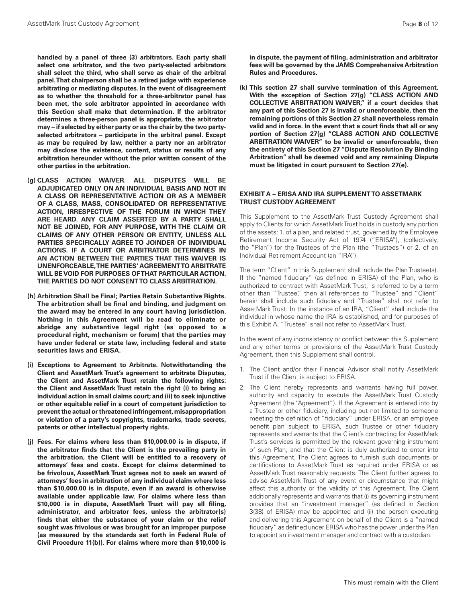**handled by a panel of three (3) arbitrators. Each party shall select one arbitrator, and the two party-selected arbitrators shall select the third, who shall serve as chair of the arbitral panel. That chairperson shall be a retired judge with experience arbitrating or mediating disputes. In the event of disagreement as to whether the threshold for a three-arbitrator panel has been met, the sole arbitrator appointed in accordance with this Section shall make that determination. If the arbitrator determines a three-person panel is appropriate, the arbitrator may – if selected by either party or as the chair by the two partyselected arbitrators – participate in the arbitral panel. Except as may be required by law, neither a party nor an arbitrator may disclose the existence, content, status or results of any arbitration hereunder without the prior written consent of the other parties in the arbitration.**

- **(g) CLASS ACTION WAIVER. ALL DISPUTES WILL BE ADJUDICATED ONLY ON AN INDIVIDUAL BASIS AND NOT IN A CLASS OR REPRESENTATIVE ACTION OR AS A MEMBER OF A CLASS, MASS, CONSOLIDATED OR REPRESENTATIVE ACTION, IRRESPECTIVE OF THE FORUM IN WHICH THEY ARE HEARD. ANY CLAIM ASSERTED BY A PARTY SHALL NOT BE JOINED, FOR ANY PURPOSE, WITH THE CLAIM OR CLAIMS OF ANY OTHER PERSON OR ENTITY, UNLESS ALL PARTIES SPECIFICALLY AGREE TO JOINDER OF INDIVIDUAL ACTIONS. IF A COURT OR ARBITRATOR DETERMINES IN AN ACTION BETWEEN THE PARTIES THAT THIS WAIVER IS UNENFORCEABLE, THE PARTIES' AGREEMENT TO ARBITRATE WILL BE VOID FOR PURPOSES OF THAT PARTICULAR ACTION. THE PARTIES DO NOT CONSENT TO CLASS ARBITRATION.**
- **(h) Arbitration Shall be Final; Parties Retain Substantive Rights. The arbitration shall be final and binding, and judgment on the award may be entered in any court having jurisdiction. Nothing in this Agreement will be read to eliminate or abridge any substantive legal right (as opposed to a procedural right, mechanism or forum) that the parties may have under federal or state law, including federal and state securities laws and ERISA.**
- **(i) Exceptions to Agreement to Arbitrate. Notwithstanding the Client and AssetMark Trust's agreement to arbitrate Disputes, the Client and AssetMark Trust retain the following rights: the Client and AssetMark Trust retain the right (i) to bring an individual action in small claims court; and (ii) to seek injunctive or other equitable relief in a court of competent jurisdiction to prevent the actual or threatened infringement, misappropriation or violation of a party's copyrights, trademarks, trade secrets, patents or other intellectual property rights.**
- **(j) Fees. For claims where less than \$10,000.00 is in dispute, if the arbitrator finds that the Client is the prevailing party in the arbitration, the Client will be entitled to a recovery of attorneys' fees and costs. Except for claims determined to be frivolous, AssetMark Trust agrees not to seek an award of attorneys' fees in arbitration of any individual claim where less than \$10,000.00 is in dispute, even if an award is otherwise available under applicable law. For claims where less than \$10,000 is in dispute, AssetMark Trust will pay all filing, administrator, and arbitrator fees, unless the arbitrator(s) finds that either the substance of your claim or the relief sought was frivolous or was brought for an improper purpose (as measured by the standards set forth in Federal Rule of Civil Procedure 11(b)). For claims where more than \$10,000 is**

**in dispute, the payment of filing, administration and arbitrator fees will be governed by the JAMS Comprehensive Arbitration Rules and Procedures.**

**(k) This section 27 shall survive termination of this Agreement. With the exception of Section 27(g) "CLASS ACTION AND COLLECTIVE ARBITRATION WAIVER," if a court decides that any part of this Section 27 is invalid or unenforceable, then the remaining portions of this Section 27 shall nevertheless remain valid and in force. In the event that a court finds that all or any portion of Section 27(g) "CLASS ACTION AND COLLECTIVE ARBITRATION WAIVER" to be invalid or unenforceable, then the entirety of this Section 27 "Dispute Resolution By Binding Arbitration" shall be deemed void and any remaining Dispute must be litigated in court pursuant to Section 27(e).**

#### **EXHIBIT A – ERISA AND IRA SUPPLEMENT TO ASSETMARK TRUST CUSTODY AGREEMENT**

This Supplement to the AssetMark Trust Custody Agreement shall apply to Clients for which AssetMark Trust holds in custody any portion of the assets: 1. of a plan, and related trust, governed by the Employee Retirement Income Security Act of 1974 ("ERISA"), (collectively, the "Plan") for the Trustees of the Plan (the "Trustees") or 2. of an Individual Retirement Account (an "IRA").

The term "Client" in this Supplement shall include the Plan Trustee(s). If the "named fiduciary" (as defined in ERISA) of the Plan, who is authorized to contract with AssetMark Trust, is referred to by a term other than "Trustee," then all references to "Trustee" and "Client" herein shall include such fiduciary and "Trustee" shall not refer to AssetMark Trust. In the instance of an IRA, "Client" shall include the individual in whose name the IRA is established, and for purposes of this Exhibit A, "Trustee" shall not refer to AssetMark Trust.

In the event of any inconsistency or conflict between this Supplement and any other terms or provisions of the AssetMark Trust Custody Agreement, then this Supplement shall control.

- 1. The Client and/or their Financial Advisor shall notify AssetMark Trust if the Client is subject to ERISA.
- 2. The Client hereby represents and warrants having full power, authority and capacity to execute the AssetMark Trust Custody Agreement (the "Agreement"). If the Agreement is entered into by a Trustee or other fiduciary, including but not limited to someone meeting the definition of "fiduciary" under ERISA, or an employee benefit plan subject to ERISA, such Trustee or other fiduciary represents and warrants that the Client's contracting for AssetMark Trust's services is permitted by the relevant governing instrument of such Plan, and that the Client is duly authorized to enter into this Agreement. The Client agrees to furnish such documents or certifications to AssetMark Trust as required under ERISA or as AssetMark Trust reasonably requests. The Client further agrees to advise AssetMark Trust of any event or circumstance that might affect this authority or the validity of this Agreement. The Client additionally represents and warrants that (i) its governing instrument provides that an "investment manager" (as defined in Section 3(38) of ERISA) may be appointed and (ii) the person executing and delivering this Agreement on behalf of the Client is a "named fiduciary" as defined under ERISA who has the power under the Plan to appoint an investment manager and contract with a custodian.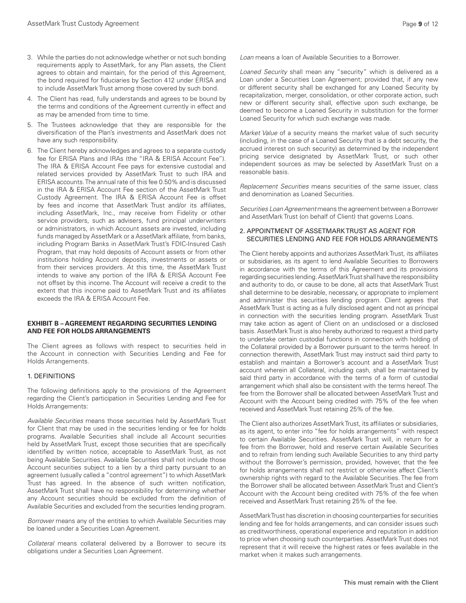- 3. While the parties do not acknowledge whether or not such bonding requirements apply to AssetMark, for any Plan assets, the Client agrees to obtain and maintain, for the period of this Agreement, the bond required for fiduciaries by Section 412 under ERISA and to include AssetMark Trust among those covered by such bond.
- 4. The Client has read, fully understands and agrees to be bound by the terms and conditions of the Agreement currently in effect and as may be amended from time to time.
- 5. The Trustees acknowledge that they are responsible for the diversification of the Plan's investments and AssetMark does not have any such responsibility.
- 6. The Client hereby acknowledges and agrees to a separate custody fee for ERISA Plans and IRAs (the "IRA & ERISA Account Fee"). The IRA & ERISA Account Fee pays for extensive custodial and related services provided by AssetMark Trust to such IRA and ERISA accounts. The annual rate of this fee 0.50% and is discussed in the IRA & ERISA Account Fee section of the AssetMark Trust Custody Agreement. The IRA & ERISA Account Fee is offset by fees and income that AssetMark Trust and/or its affiliates, including AssetMark, Inc., may receive from Fidelity or other service providers, such as advisers, fund principal underwriters or administrators, in which Account assets are invested, including funds managed by AssetMark or a AssetMark affiliate, from banks, including Program Banks in AssetMark Trust's FDIC-Insured Cash Program, that may hold deposits of Account assets or from other institutions holding Account deposits, investments or assets or from their services providers. At this time, the AssetMark Trust intends to waive any portion of the IRA & ERISA Account Fee not offset by this income. The Account will receive a credit to the extent that this income paid to AssetMark Trust and its affiliates exceeds the IRA & ERISA Account Fee.

#### **EXHIBIT B – AGREEMENT REGARDING SECURITIES LENDING AND FEE FOR HOLDS ARRANGEMENTS**

The Client agrees as follows with respect to securities held in the Account in connection with Securities Lending and Fee for Holds Arrangements.

#### 1. DEFINITIONS

The following definitions apply to the provisions of the Agreement regarding the Client's participation in Securities Lending and Fee for Holds Arrangements:

*Available Securities* means those securities held by AssetMark Trust for Client that may be used in the securities lending or fee for holds programs. Available Securities shall include all Account securities held by AssetMark Trust, except those securities that are specifically identified by written notice, acceptable to AssetMark Trust, as not being Available Securities. Available Securities shall not include those Account securities subject to a lien by a third party pursuant to an agreement (usually called a "control agreement") to which AssetMark Trust has agreed. In the absence of such written notification, AssetMark Trust shall have no responsibility for determining whether any Account securities should be excluded from the definition of Available Securities and excluded from the securities lending program.

*Borrower* means any of the entities to which Available Securities may be loaned under a Securities Loan Agreement.

*Collateral* means collateral delivered by a Borrower to secure its obligations under a Securities Loan Agreement.

*Loan* means a loan of Available Securities to a Borrower.

*Loaned Security* shall mean any "security" which is delivered as a Loan under a Securities Loan Agreement; provided that, if any new or different security shall be exchanged for any Loaned Security by recapitalization, merger, consolidation, or other corporate action, such new or different security shall, effective upon such exchange, be deemed to become a Loaned Security in substitution for the former Loaned Security for which such exchange was made.

*Market Value* of a security means the market value of such security (including, in the case of a Loaned Security that is a debt security, the accrued interest on such security) as determined by the independent pricing service designated by AssetMark Trust, or such other independent sources as may be selected by AssetMark Trust on a reasonable basis.

*Replacement Securities* means securities of the same issuer, class and denomination as Loaned Securities.

*Securities Loan Agreement* means the agreement between a Borrower and AssetMark Trust (on behalf of Client) that governs Loans.

## 2. APPOINTMENT OF ASSETMARK TRUST AS AGENT FOR SECURITIES LENDING AND FEE FOR HOLDS ARRANGEMENTS

The Client hereby appoints and authorizes AssetMark Trust, its affiliates or subsidiaries, as its agent to lend Available Securities to Borrowers in accordance with the terms of this Agreement and its provisions regarding securities lending. AssetMark Trust shall have the responsibility and authority to do, or cause to be done, all acts that AssetMark Trust shall determine to be desirable, necessary, or appropriate to implement and administer this securities lending program. Client agrees that AssetMark Trust is acting as a fully disclosed agent and not as principal in connection with the securities lending program. AssetMark Trust may take action as agent of Client on an undisclosed or a disclosed basis. AssetMark Trust is also hereby authorized to request a third party to undertake certain custodial functions in connection with holding of the Collateral provided by a Borrower pursuant to the terms hereof. In connection therewith, AssetMark Trust may instruct said third party to establish and maintain a Borrower's account and a AssetMark Trust account wherein all Collateral, including cash, shall be maintained by said third party in accordance with the terms of a form of custodial arrangement which shall also be consistent with the terms hereof. The fee from the Borrower shall be allocated between AssetMark Trust and Account with the Account being credited with 75% of the fee when received and AssetMark Trust retaining 25% of the fee.

The Client also authorizes AssetMark Trust, its affiliates or subsidiaries, as its agent, to enter into "fee for holds arrangements" with respect to certain Available Securities. AssetMark Trust will, in return for a fee from the Borrower, hold and reserve certain Available Securities and to refrain from lending such Available Securities to any third party without the Borrower's permission, provided, however, that the fee for holds arrangements shall not restrict or otherwise affect Client's ownership rights with regard to the Available Securities. The fee from the Borrower shall be allocated between AssetMark Trust and Client's Account with the Account being credited with 75% of the fee when received and AssetMark Trust retaining 25% of the fee.

AssetMark Trust has discretion in choosing counterparties for securities lending and fee for holds arrangements, and can consider issues such as creditworthiness, operational experience and reputation in addition to price when choosing such counterparties. AssetMark Trust does not represent that it will receive the highest rates or fees available in the market when it makes such arrangements.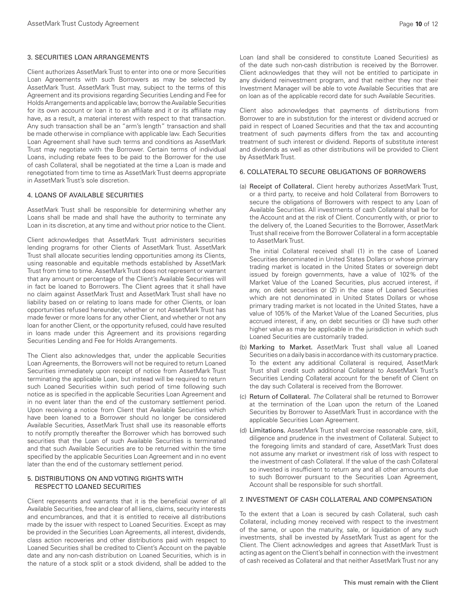## 3. SECURITIES LOAN ARRANGEMENTS

Client authorizes AssetMark Trust to enter into one or more Securities Loan Agreements with such Borrowers as may be selected by AssetMark Trust. AssetMark Trust may, subject to the terms of this Agreement and its provisions regarding Securities Lending and Fee for Holds Arrangements and applicable law, borrow the Available Securities for its own account or loan it to an affiliate and it or its affiliate may have, as a result, a material interest with respect to that transaction. Any such transaction shall be an "arm's length" transaction and shall be made otherwise in compliance with applicable law. Each Securities Loan Agreement shall have such terms and conditions as AssetMark Trust may negotiate with the Borrower. Certain terms of individual Loans, including rebate fees to be paid to the Borrower for the use of cash Collateral, shall be negotiated at the time a Loan is made and renegotiated from time to time as AssetMark Trust deems appropriate in AssetMark Trust's sole discretion.

## 4. LOANS OF AVAILABLE SECURITIES

AssetMark Trust shall be responsible for determining whether any Loans shall be made and shall have the authority to terminate any Loan in its discretion, at any time and without prior notice to the Client.

Client acknowledges that AssetMark Trust administers securities lending programs for other Clients of AssetMark Trust. AssetMark Trust shall allocate securities lending opportunities among its Clients, using reasonable and equitable methods established by AssetMark Trust from time to time. AssetMark Trust does not represent or warrant that any amount or percentage of the Client's Available Securities will in fact be loaned to Borrowers. The Client agrees that it shall have no claim against AssetMark Trust and AssetMark Trust shall have no liability based on or relating to loans made for other Clients, or loan opportunities refused hereunder, whether or not AssetMark Trust has made fewer or more loans for any other Client, and whether or not any loan for another Client, or the opportunity refused, could have resulted in loans made under this Agreement and its provisions regarding Securities Lending and Fee for Holds Arrangements.

The Client also acknowledges that, under the applicable Securities Loan Agreements, the Borrowers will not be required to return Loaned Securities immediately upon receipt of notice from AssetMark Trust terminating the applicable Loan, but instead will be required to return such Loaned Securities within such period of time following such notice as is specified in the applicable Securities Loan Agreement and in no event later than the end of the customary settlement period. Upon receiving a notice from Client that Available Securities which have been loaned to a Borrower should no longer be considered Available Securities, AssetMark Trust shall use its reasonable efforts to notify promptly thereafter the Borrower which has borrowed such securities that the Loan of such Available Securities is terminated and that such Available Securities are to be returned within the time specified by the applicable Securities Loan Agreement and in no event later than the end of the customary settlement period.

#### 5. DISTRIBUTIONS ON AND VOTING RIGHTS WITH RESPECT TO LOANED SECURITIES

Client represents and warrants that it is the beneficial owner of all Available Securities, free and clear of all liens, claims, security interests and encumbrances, and that it is entitled to receive all distributions made by the issuer with respect to Loaned Securities. Except as may be provided in the Securities Loan Agreements, all interest, dividends, class action recoveries and other distributions paid with respect to Loaned Securities shall be credited to Client's Account on the payable date and any non-cash distribution on Loaned Securities, which is in the nature of a stock split or a stock dividend, shall be added to the

Loan (and shall be considered to constitute Loaned Securities) as of the date such non-cash distribution is received by the Borrower. Client acknowledges that they will not be entitled to participate in any dividend reinvestment program, and that neither they nor their Investment Manager will be able to vote Available Securities that are on loan as of the applicable record date for such Available Securities.

Client also acknowledges that payments of distributions from Borrower to are in substitution for the interest or dividend accrued or paid in respect of Loaned Securities and that the tax and accounting treatment of such payments differs from the tax and accounting treatment of such interest or dividend. Reports of substitute interest and dividends as well as other distributions will be provided to Client by AssetMark Trust.

## 6. COLLATERAL TO SECURE OBLIGATIONS OF BORROWERS

(a) Receipt of Collateral. Client hereby authorizes AssetMark Trust, or a third party, to receive and hold Collateral from Borrowers to secure the obligations of Borrowers with respect to any Loan of Available Securities. All investments of cash Collateral shall be for the Account and at the risk of Client. Concurrently with, or prior to the delivery of, the Loaned Securities to the Borrower, AssetMark Trust shall receive from the Borrower Collateral in a form acceptable to AssetMark Trust.

The initial Collateral received shall (1) in the case of Loaned Securities denominated in United States Dollars or whose primary trading market is located in the United States or sovereign debt issued by foreign governments, have a value of 102% of the Market Value of the Loaned Securities, plus accrued interest, if any, on debt securities or (2) in the case of Loaned Securities which are not denominated in United States Dollars or whose primary trading market is not located in the United States, have a value of 105% of the Market Value of the Loaned Securities, plus accrued interest, if any, on debt securities or (3) have such other higher value as may be applicable in the jurisdiction in which such Loaned Securities are customarily traded.

- (b) Marking to Market. AssetMark Trust shall value all Loaned Securities on a daily basis in accordance with its customary practice. To the extent any additional Collateral is required, AssetMark Trust shall credit such additional Collateral to AssetMark Trust's Securities Lending Collateral account for the benefit of Client on the day such Collateral is received from the Borrower.
- (c) Return of Collateral. *The* Collateral shall be returned to Borrower at the termination of the Loan upon the return of the Loaned Securities by Borrower to AssetMark Trust in accordance with the applicable Securities Loan Agreement.
- (d) Limitations. AssetMark Trust shall exercise reasonable care, skill, diligence and prudence in the investment of Collateral. Subject to the foregoing limits and standard of care, AssetMark Trust does not assume any market or investment risk of loss with respect to the investment of cash Collateral. If the value of the cash Collateral so invested is insufficient to return any and all other amounts due to such Borrower pursuant to the Securities Loan Agreement, Account shall be responsible for such shortfall.

## 7. INVESTMENT OF CASH COLLATERAL AND COMPENSATION

To the extent that a Loan is secured by cash Collateral, such cash Collateral, including money received with respect to the investment of the same, or upon the maturity, sale, or liquidation of any such investments, shall be invested by AssetMark Trust as agent for the Client. The Client acknowledges and agrees that AssetMark Trust is acting as agent on the Client's behalf in connection with the investment of cash received as Collateral and that neither AssetMark Trust nor any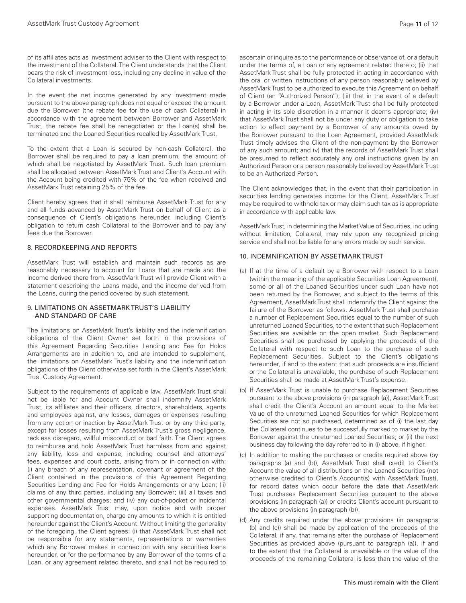of its affiliates acts as investment adviser to the Client with respect to the investment of the Collateral. The Client understands that the Client bears the risk of investment loss, including any decline in value of the Collateral investments.

In the event the net income generated by any investment made pursuant to the above paragraph does not equal or exceed the amount due the Borrower (the rebate fee for the use of cash Collateral) in accordance with the agreement between Borrower and AssetMark Trust, the rebate fee shall be renegotiated or the Loan(s) shall be terminated and the Loaned Securities recalled by AssetMark Trust.

To the extent that a Loan is secured by non-cash Collateral, the Borrower shall be required to pay a loan premium, the amount of which shall be negotiated by AssetMark Trust. Such loan premium shall be allocated between AssetMark Trust and Client's Account with the Account being credited with 75% of the fee when received and AssetMark Trust retaining 25% of the fee.

Client hereby agrees that it shall reimburse AssetMark Trust for any and all funds advanced by AssetMark Trust on behalf of Client as a consequence of Client's obligations hereunder, including Client's obligation to return cash Collateral to the Borrower and to pay any fees due the Borrower.

# 8. RECORDKEEPING AND REPORTS

AssetMark Trust will establish and maintain such records as are reasonably necessary to account for Loans that are made and the income derived there from. AssetMark Trust will provide Client with a statement describing the Loans made, and the income derived from the Loans, during the period covered by such statement.

#### 9. LIMITATIONS ON ASSETMARK TRUST'S LIABILITY AND STANDARD OF CARE

The limitations on AssetMark Trust's liability and the indemnification obligations of the Client Owner set forth in the provisions of this Agreement Regarding Securities Lending and Fee for Holds Arrangements are in addition to, and are intended to supplement, the limitations on AssetMark Trust's liability and the indemnification obligations of the Client otherwise set forth in the Client's AssetMark Trust Custody Agreement.

Subject to the requirements of applicable law, AssetMark Trust shall not be liable for and Account Owner shall indemnify AssetMark Trust, its affiliates and their officers, directors, shareholders, agents and employees against, any losses, damages or expenses resulting from any action or inaction by AssetMark Trust or by any third party, except for losses resulting from AssetMark Trust's gross negligence, reckless disregard, willful misconduct or bad faith. The Client agrees to reimburse and hold AssetMark Trust harmless from and against any liability, loss and expense, including counsel and attorneys' fees, expenses and court costs, arising from or in connection with: (i) any breach of any representation, covenant or agreement of the Client contained in the provisions of this Agreement Regarding Securities Lending and Fee for Holds Arrangements or any Loan; (ii) claims of any third parties, including any Borrower; (iii) all taxes and other governmental charges; and (iv) any out-of-pocket or incidental expenses. AssetMark Trust may, upon notice and with proper supporting documentation, charge any amounts to which it is entitled hereunder against the Client's Account. Without limiting the generality of the foregoing, the Client agrees: (i) that AssetMark Trust shall not be responsible for any statements, representations or warranties which any Borrower makes in connection with any securities loans hereunder, or for the performance by any Borrower of the terms of a Loan, or any agreement related thereto, and shall not be required to

ascertain or inquire as to the performance or observance of, or a default under the terms of, a Loan or any agreement related thereto; (ii) that AssetMark Trust shall be fully protected in acting in accordance with the oral or written instructions of any person reasonably believed by AssetMark Trust to be authorized to execute this Agreement on behalf of Client (an "Authorized Person"); (iii) that in the event of a default by a Borrower under a Loan, AssetMark Trust shall be fully protected in acting in its sole discretion in a manner it deems appropriate; (iv) that AssetMark Trust shall not be under any duty or obligation to take action to effect payment by a Borrower of any amounts owed by the Borrower pursuant to the Loan Agreement, provided AssetMark Trust timely advises the Client of the non-payment by the Borrower of any such amount; and (v) that the records of AssetMark Trust shall be presumed to reflect accurately any oral instructions given by an Authorized Person or a person reasonably believed by AssetMark Trust to be an Authorized Person.

The Client acknowledges that, in the event that their participation in securities lending generates income for the Client, AssetMark Trust may be required to withhold tax or may claim such tax as is appropriate in accordance with applicable law.

AssetMark Trust, in determining the Market Value of Securities, including without limitation, Collateral, may rely upon any recognized pricing service and shall not be liable for any errors made by such service.

#### 10. INDEMNIFICATION BY ASSETMARK TRUST

- (a) If at the time of a default by a Borrower with respect to a Loan (within the meaning of the applicable Securities Loan Agreement), some or all of the Loaned Securities under such Loan have not been returned by the Borrower, and subject to the terms of this Agreement, AssetMark Trust shall indemnify the Client against the failure of the Borrower as follows. AssetMark Trust shall purchase a number of Replacement Securities equal to the number of such unreturned Loaned Securities, to the extent that such Replacement Securities are available on the open market. Such Replacement Securities shall be purchased by applying the proceeds of the Collateral with respect to such Loan to the purchase of such Replacement Securities. Subject to the Client's obligations hereunder, if and to the extent that such proceeds are insufficient or the Collateral is unavailable, the purchase of such Replacement Securities shall be made at AssetMark Trust's expense.
- (b) If AssetMark Trust is unable to purchase Replacement Securities pursuant to the above provisions (in paragraph (a)), AssetMark Trust shall credit the Client's Account an amount equal to the Market Value of the unreturned Loaned Securities for which Replacement Securities are not so purchased, determined as of (i) the last day the Collateral continues to be successfully marked to market by the Borrower against the unreturned Loaned Securities; or (ii) the next business day following the day referred to in (i) above, if higher.
- (c) In addition to making the purchases or credits required above (by paragraphs (a) and (b)), AssetMark Trust shall credit to Client's Account the value of all distributions on the Loaned Securities (not otherwise credited to Client's Account(s) with AssetMark Trust), for record dates which occur before the date that AssetMark Trust purchases Replacement Securities pursuant to the above provisions (in paragraph (a)) or credits Client's account pursuant to the above provisions (in paragraph (b)).
- (d) Any credits required under the above provisions (in paragraphs (b) and (c)) shall be made by application of the proceeds of the Collateral, if any, that remains after the purchase of Replacement Securities as provided above (pursuant to paragraph (a)), if and to the extent that the Collateral is unavailable or the value of the proceeds of the remaining Collateral is less than the value of the